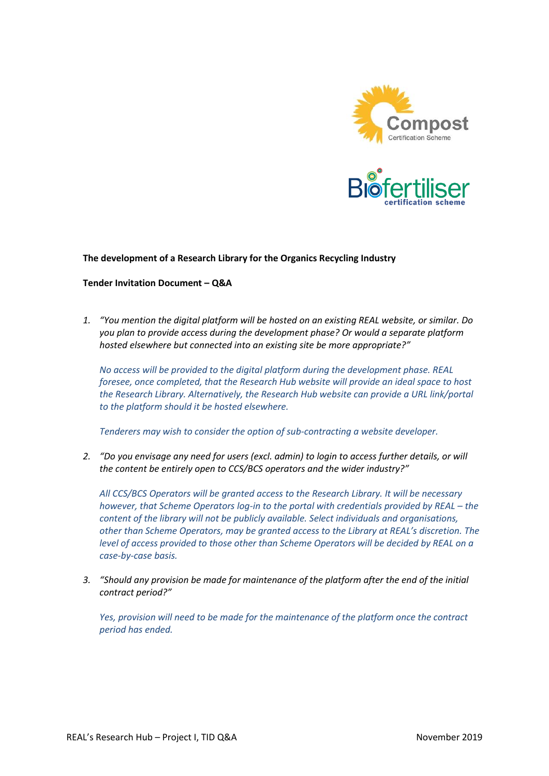



## **The development of a Research Library for the Organics Recycling Industry**

## **Tender Invitation Document – Q&A**

*1. "You mention the digital platform will be hosted on an existing REAL website, or similar. Do you plan to provide access during the development phase? Or would a separate platform hosted elsewhere but connected into an existing site be more appropriate?"*

*No access will be provided to the digital platform during the development phase. REAL foresee, once completed, that the Research Hub website will provide an ideal space to host the Research Library. Alternatively, the Research Hub website can provide a URL link/portal to the platform should it be hosted elsewhere.* 

*Tenderers may wish to consider the option of sub-contracting a website developer.* 

*2. "Do you envisage any need for users (excl. admin) to login to access further details, or will the content be entirely open to CCS/BCS operators and the wider industry?"*

*All CCS/BCS Operators will be granted access to the Research Library. It will be necessary however, that Scheme Operators log-in to the portal with credentials provided by REAL – the content of the library will not be publicly available. Select individuals and organisations, other than Scheme Operators, may be granted access to the Library at REAL's discretion. The level of access provided to those other than Scheme Operators will be decided by REAL on a case-by-case basis.* 

*3. "Should any provision be made for maintenance of the platform after the end of the initial contract period?"*

*Yes, provision will need to be made for the maintenance of the platform once the contract period has ended.*